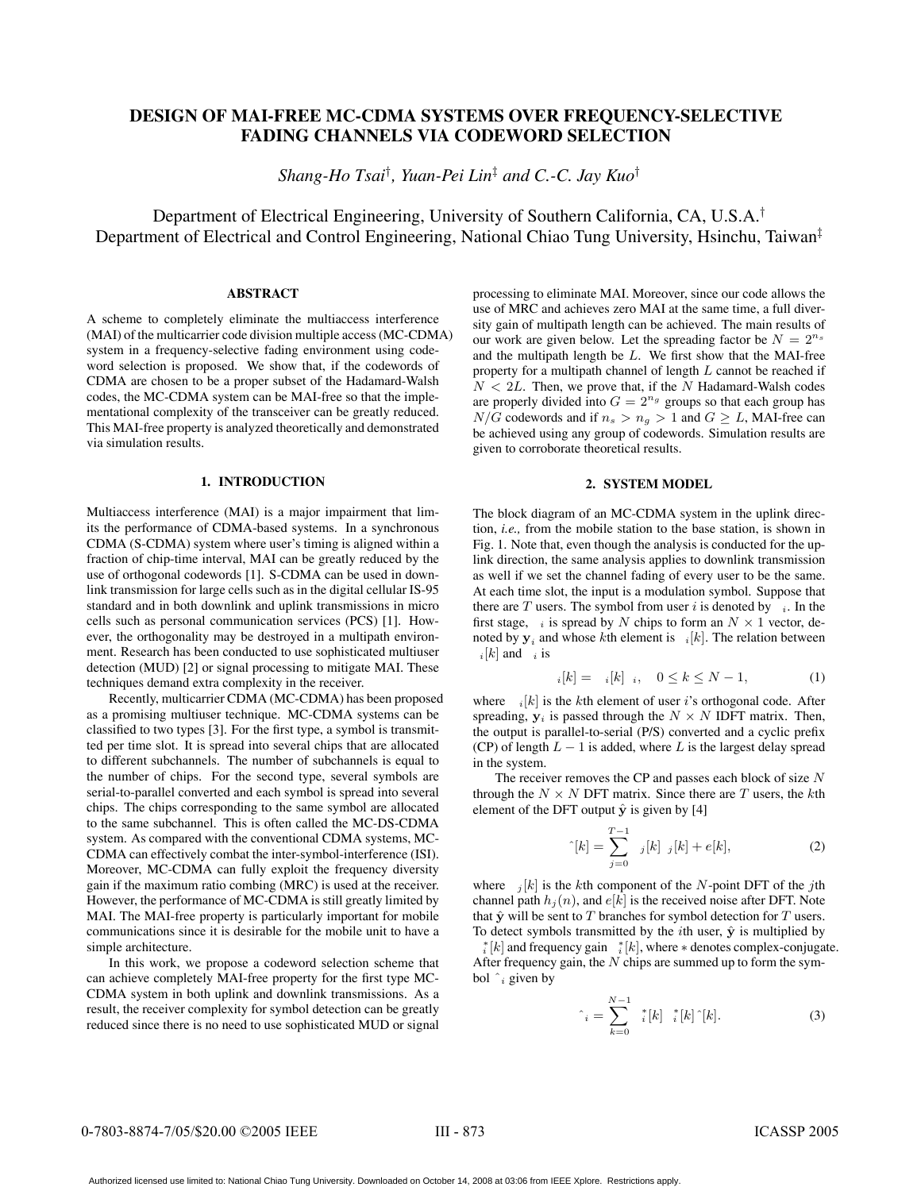# **DESIGN OF MAI-FREE MC-CDMA SYSTEMS OVER FREQUENCY-SELECTIVE FADING CHANNELS VIA CODEWORD SELECTION**

*Shang-Ho Tsai*† *, Yuan-Pei Lin*‡ *and C.-C. Jay Kuo*†

Department of Electrical Engineering, University of Southern California, CA, U.S.A.† Department of Electrical and Control Engineering, National Chiao Tung University, Hsinchu, Taiwan‡

## **ABSTRACT**

A scheme to completely eliminate the multiaccess interference (MAI) of the multicarrier code division multiple access (MC-CDMA) system in a frequency-selective fading environment using codeword selection is proposed. We show that, if the codewords of CDMA are chosen to be a proper subset of the Hadamard-Walsh codes, the MC-CDMA system can be MAI-free so that the implementational complexity of the transceiver can be greatly reduced. This MAI-free property is analyzed theoretically and demonstrated via simulation results.

# **1. INTRODUCTION**

Multiaccess interference (MAI) is a major impairment that limits the performance of CDMA-based systems. In a synchronous CDMA (S-CDMA) system where user's timing is aligned within a fraction of chip-time interval, MAI can be greatly reduced by the use of orthogonal codewords [1]. S-CDMA can be used in downlink transmission for large cells such as in the digital cellular IS-95 standard and in both downlink and uplink transmissions in micro cells such as personal communication services (PCS) [1]. However, the orthogonality may be destroyed in a multipath environment. Research has been conducted to use sophisticated multiuser detection (MUD) [2] or signal processing to mitigate MAI. These techniques demand extra complexity in the receiver.

Recently, multicarrier CDMA (MC-CDMA) has been proposed as a promising multiuser technique. MC-CDMA systems can be classified to two types [3]. For the first type, a symbol is transmitted per time slot. It is spread into several chips that are allocated to different subchannels. The number of subchannels is equal to the number of chips. For the second type, several symbols are serial-to-parallel converted and each symbol is spread into several chips. The chips corresponding to the same symbol are allocated to the same subchannel. This is often called the MC-DS-CDMA system. As compared with the conventional CDMA systems, MC-CDMA can effectively combat the inter-symbol-interference (ISI). Moreover, MC-CDMA can fully exploit the frequency diversity gain if the maximum ratio combing (MRC) is used at the receiver. However, the performance of MC-CDMA is still greatly limited by MAI. The MAI-free property is particularly important for mobile communications since it is desirable for the mobile unit to have a simple architecture.

In this work, we propose a codeword selection scheme that can achieve completely MAI-free property for the first type MC-CDMA system in both uplink and downlink transmissions. As a result, the receiver complexity for symbol detection can be greatly reduced since there is no need to use sophisticated MUD or signal

processing to eliminate MAI. Moreover, since our code allows the use of MRC and achieves zero MAI at the same time, a full diversity gain of multipath length can be achieved. The main results of our work are given below. Let the spreading factor be  $N = 2^{n_s}$ and the multipath length be L. We first show that the MAI-free property for a multipath channel of length L cannot be reached if  $N < 2L$ . Then, we prove that, if the N Hadamard-Walsh codes are properly divided into  $G = 2^{n_g}$  groups so that each group has  $N/G$  codewords and if  $n_s > n_g > 1$  and  $G \geq L$ , MAI-free can be achieved using any group of codewords. Simulation results are given to corroborate theoretical results.

#### **2. SYSTEM MODEL**

The block diagram of an MC-CDMA system in the uplink direction, *i.e.,* from the mobile station to the base station, is shown in Fig. 1. Note that, even though the analysis is conducted for the uplink direction, the same analysis applies to downlink transmission as well if we set the channel fading of every user to be the same. At each time slot, the input is a modulation symbol. Suppose that there are T users. The symbol from user i is denoted by i. In the first stage, *i* is spread by N chips to form an  $N \times 1$  vector, denoted by  $y_i$  and whose kth element is  $i[k]$ . The relation between  $_{i}[k]$  and  $_{i}$  is

$$
i[k] = i[k] \, i, \, 0 \le k \le N - 1,\tag{1}
$$

where  $i[k]$  is the kth element of user i's orthogonal code. After spreading,  $y_i$  is passed through the  $N \times N$  IDFT matrix. Then, the output is parallel-to-serial (P/S) converted and a cyclic prefix (CP) of length  $L - 1$  is added, where L is the largest delay spread in the system.

The receiver removes the CP and passes each block of size  $N$ through the  $N \times N$  DFT matrix. Since there are T users, the kth element of the DFT output  $\hat{y}$  is given by [4]

$$
\hat{E}[k] = \sum_{j=0}^{T-1} j[k] j[k] + e[k], \tag{2}
$$

where  $j[k]$  is the kth component of the N-point DFT of the jth channel path  $h_i(n)$ , and  $e[k]$  is the received noise after DFT. Note that  $\hat{y}$  will be sent to  $T$  branches for symbol detection for  $T$  users. To detect symbols transmitted by the *i*th user,  $\hat{y}$  is multiplied by

 $i[k]$  and frequency gain  $i[k]$ , where  $*$  denotes complex-conjugate.<br>fter frequency gain the N chins are summed up to form the sym-After frequency gain, the  $N$  chips are summed up to form the symbol  $\hat{i}$  given by

$$
\hat{\lambda}_i = \sum_{k=0}^{N-1} \, \mathbf{I}^*_{i}[k] \, \mathbf{I}^*[k] \, \mathbf{I}[k]. \tag{3}
$$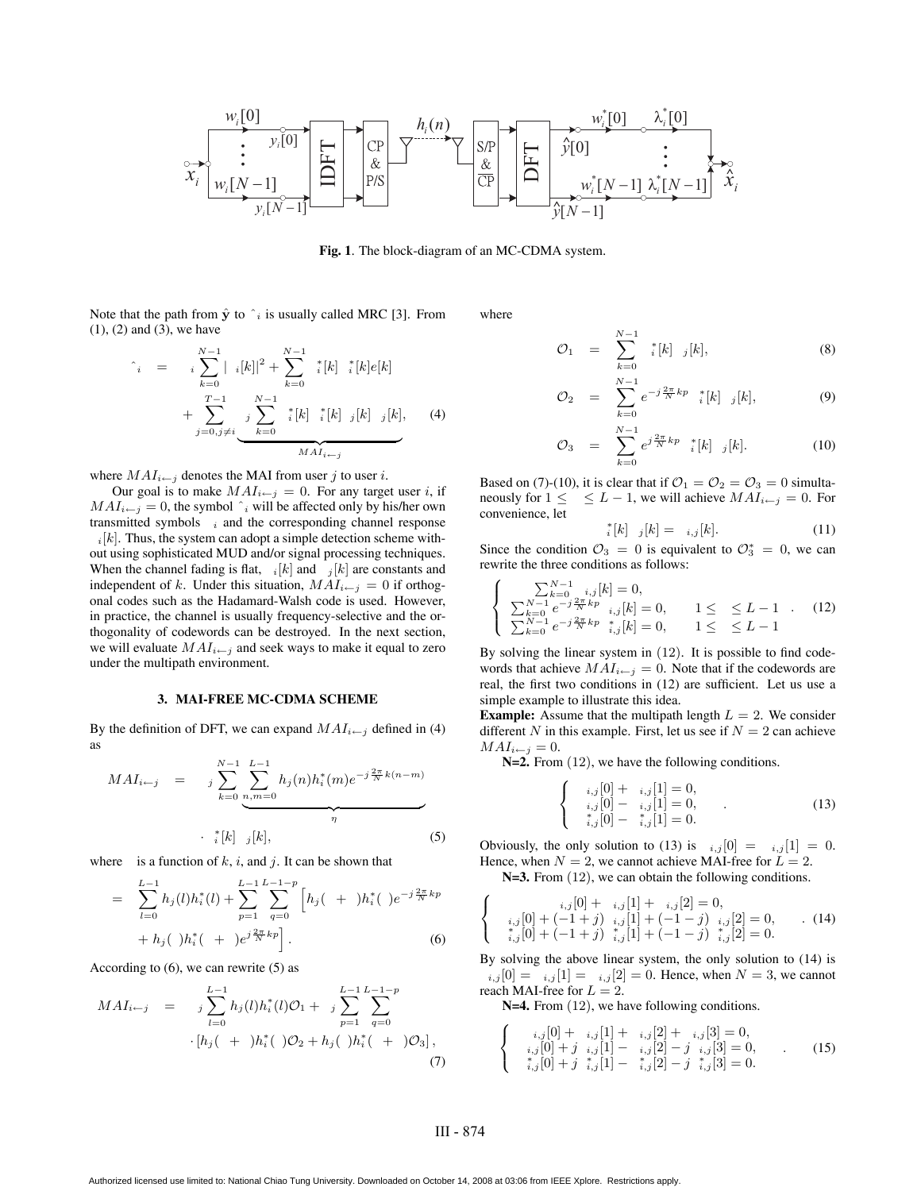

**Fig. 1**. The block-diagram of an MC-CDMA system.

Note that the path from  $\hat{y}$  to  $\hat{i}$  is usually called MRC [3]. From  $(1)$ ,  $(2)$  and  $(3)$ , we have

$$
\hat{i} = i \sum_{k=0}^{N-1} |i[k]|^2 + \sum_{k=0}^{N-1} i[k] i[k] k[k]
$$
  
+ 
$$
\sum_{j=0, j \neq i}^{T-1} \underbrace{j \sum_{k=0}^{N-1} i[k] i[k] j[k] j[k]}_{MAI_{i \leftarrow j}}
$$
 (4)

where  $MAI_{i\leftarrow j}$  denotes the MAI from user j to user i.

Our goal is to make  $MAI_{i \leftarrow j} = 0$ . For any target user i, if  $MAI_{i\leftarrow j} = 0$ , the symbol  $\hat{i}$  will be affected only by his/her own transmitted symbols  $i$  and the corresponding channel response

 $i[k]$ . Thus, the system can adopt a simple detection scheme without using sophisticated MUD and/or signal processing techniques. When the channel fading is flat,  $i[k]$  and  $j[k]$  are constants and independent of k. Under this situation,  $MAI_{i \leftarrow j} = 0$  if orthogonal codes such as the Hadamard-Walsh code is used. However, in practice, the channel is usually frequency-selective and the orthogonality of codewords can be destroyed. In the next section, we will evaluate  $MAI_{i \leftarrow j}$  and seek ways to make it equal to zero under the multipath environment.

## **3. MAI-FREE MC-CDMA SCHEME**

By the definition of DFT, we can expand  $MAI_{i \leftarrow j}$  defined in (4) as

$$
MAI_{i \leftarrow j} = \sum_{k=0}^{N-1} \underbrace{\sum_{n,m=0}^{L-1} h_j(n) h_i^*(m) e^{-j\frac{2\pi}{N}k(n-m)}}_{\eta}
$$
\n
$$
\cdot \quad \downarrow^*[k] \quad j[k], \tag{5}
$$

where is a function of  $k$ ,  $i$ , and  $j$ . It can be shown that

$$
= \sum_{l=0}^{L-1} h_j(l) h_i^*(l) + \sum_{p=1}^{L-1} \sum_{q=0}^{L-1-p} \left[ h_j( + )h_i^*( )e^{-j\frac{2\pi}{N}kp} + h_j( )h_i^*( + )e^{j\frac{2\pi}{N}kp} \right].
$$
\n(6)

According to  $(6)$ , we can rewrite  $(5)$  as

$$
MAI_{i \leftarrow j} = j \sum_{l=0}^{L-1} h_j(l) h_i^*(l) \mathcal{O}_1 + j \sum_{p=1}^{L-1} \sum_{q=0}^{L-1-p} \cdot [h_j(+)h_i^*(\cdot) \mathcal{O}_2 + h_j(\cdot)h_i^*(\cdot + \cdot) \mathcal{O}_3],
$$
\n(7)

where

$$
\mathcal{O}_1 = \sum_{k=0}^{N-1} \, _i^*[k] \, _j[k], \tag{8}
$$

$$
\mathcal{O}_2 = \sum_{k=0}^{N-1} e^{-j\frac{2\pi}{N}kp} \, \, _i^*[k] \, \, _j[k], \tag{9}
$$

$$
\mathcal{O}_3 = \sum_{k=0}^{N-1} e^{j\frac{2\pi}{N}kp} \, \left| \, \right| [k], \tag{10}
$$

Based on (7)-(10), it is clear that if  $\mathcal{O}_1 = \mathcal{O}_2 = \mathcal{O}_3 = 0$  simultaneously for  $1 \leq \leq L - 1$ , we will achieve  $MAI_{i \leftarrow j} = 0$ . For convenience, let

$$
\begin{aligned}\n \stackrel{*}{\scriptstyle i}[k] \quad j[k] &= \quad i,j[k].\n \end{aligned}\n \tag{11}
$$

Since the condition  $\mathcal{O}_3 = 0$  is equivalent to  $\mathcal{O}_3^* = 0$ , we can rewrite the three conditions as follows: rewrite the three conditions as follows:

$$
\begin{cases}\n\sum_{k=0}^{N-1} i,j[k] = 0, \\
\sum_{k=0}^{N-1} e^{-j\frac{2\pi}{N}kp} i,j[k] = 0, \quad 1 \leq \leq L-1 .\n\end{cases}
$$
\n(12)\n
$$
\sum_{k=0}^{N-1} e^{-j\frac{2\pi}{N}kp} i,j[k] = 0, \quad 1 \leq \leq L-1
$$

By solving the linear system in (12). It is possible to find codewords that achieve  $MAI_{i \leftarrow j} = 0$ . Note that if the codewords are real, the first two conditions in (12) are sufficient. Let us use a simple example to illustrate this idea.

**Example:** Assume that the multipath length  $L = 2$ . We consider different N in this example. First, let us see if  $N = 2$  can achieve  $MAI_{i\leftarrow j} = 0.$ 

**N=2.** From (12), we have the following conditions.

$$
\begin{cases}\n i,j[0] + i,j[1] = 0, \\
 i,j[0] - i,j[1] = 0, \\
 *_{i,j}[0] - *_{i,j}[1] = 0.\n\end{cases}
$$
\n(13)

Obviously, the only solution to (13) is  $i,j[0] = i,j[1] = 0$ . Hence, when  $N = 2$ , we cannot achieve MAI-free for  $L = 2$ .

**N=3.** From (12), we can obtain the following conditions.

$$
\begin{cases}\n i,j[0] + i,j[1] + i,j[2] = 0, \\
 i,j[0] + (-1+j) i,j[1] + (-1-j) i,j[2] = 0, \\
 i,j[0] + (-1+j) i,j[1] + (-1-j) i,j[2] = 0.\n\end{cases}
$$
\n(14)

By solving the above linear system, the only solution to (14) is  $i,j[0] = i,j[1] = i,j[2] = 0$ . Hence, when  $N = 3$ , we cannot reach MAI-free for  $L = 2$ .

N=4. From  $(12)$ , we have following conditions.

$$
\begin{cases}\n i,j[0] + i,j[1] + i,j[2] + i,j[3] = 0, \\
 i,j[0] + j \quad i,j[1] - i,j[2] - j \quad i,j[3] = 0, \\
 *_{i,j}[0] + j \quad *_{i,j}[1] - *_{i,j}[2] - j \quad *_{i,j}[3] = 0.\n\end{cases}
$$
\n(15)

# III - 874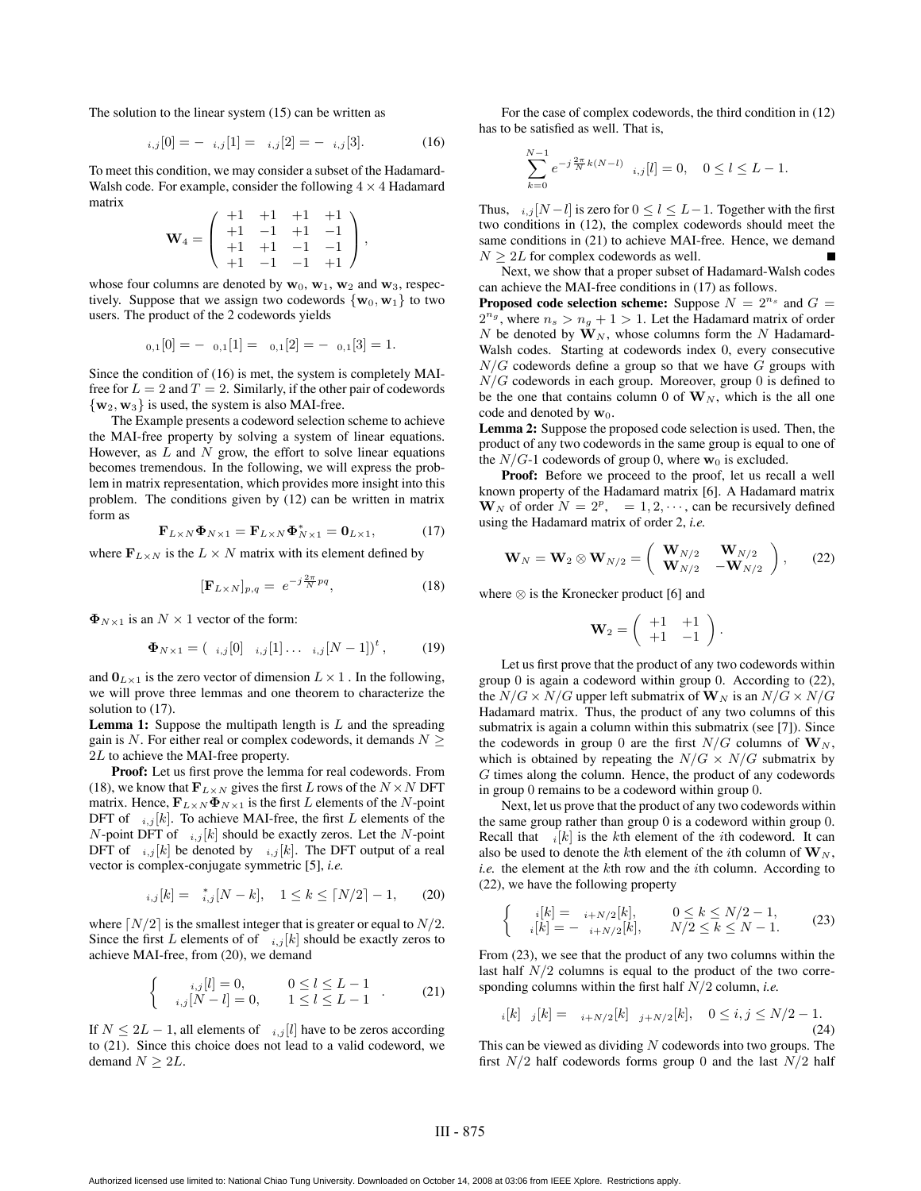The solution to the linear system (15) can be written as

$$
i,j[0] = -i,j[1] = i,j[2] = -i,j[3]. \tag{16}
$$

To meet this condition, we may consider a subset of the Hadamard-Walsh code. For example, consider the following  $4 \times 4$  Hadamard matrix  $\sqrt{11}$   $\sqrt{11}$   $\sqrt{11}$ 

$$
\mathbf{W}_4 = \left( \begin{array}{rrrr} +1 & +1 & +1 & +1 \\ +1 & -1 & +1 & -1 \\ +1 & +1 & -1 & -1 \\ +1 & -1 & -1 & +1 \end{array} \right),
$$

whose four columns are denoted by  $w_0$ ,  $w_1$ ,  $w_2$  and  $w_3$ , respectively. Suppose that we assign two codewords  $\{w_0, w_1\}$  to two users. The product of the 2 codewords yields

$$
_{0,1}[0] = -_{0,1}[1] =_{0,1}[2] = -_{0,1}[3] = 1.
$$

Since the condition of (16) is met, the system is completely MAIfree for  $L = 2$  and  $T = 2$ . Similarly, if the other pair of codewords  ${\bf w}_2, {\bf w}_3$  is used, the system is also MAI-free.

The Example presents a codeword selection scheme to achieve the MAI-free property by solving a system of linear equations. However, as  $L$  and  $N$  grow, the effort to solve linear equations becomes tremendous. In the following, we will express the problem in matrix representation, which provides more insight into this problem. The conditions given by (12) can be written in matrix form as

$$
\mathbf{F}_{L\times N}\mathbf{\Phi}_{N\times 1} = \mathbf{F}_{L\times N}\mathbf{\Phi}_{N\times 1}^* = \mathbf{0}_{L\times 1},\tag{17}
$$

where  $\mathbf{F}_{L\times N}$  is the  $L \times N$  matrix with its element defined by

$$
[\mathbf{F}_{L\times N}]_{p,q} = e^{-j\frac{2\pi}{N}pq},\tag{18}
$$

 $\Phi_{N\times 1}$  is an  $N\times 1$  vector of the form:

$$
\Phi_{N\times 1} = (i,j[0] i,j[1] \cdots i,j[N-1])^t, \qquad (19)
$$

and  $\mathbf{0}_{L\times 1}$  is the zero vector of dimension  $L\times 1$  . In the following, we will prove three lemmas and one theorem to characterize the solution to  $(17)$ .

**Lemma 1:** Suppose the multipath length is  $L$  and the spreading gain is N. For either real or complex codewords, it demands  $N \geq$ 2<sup>L</sup> to achieve the MAI-free property.

**Proof:** Let us first prove the lemma for real codewords. From (18), we know that  $\mathbf{F}_{L \times N}$  gives the first L rows of the  $N \times N$  DFT matrix. Hence,  $\mathbf{F}_{L\times N}\mathbf{\Phi}_{N\times 1}$  is the first L elements of the N-point DFT of  $i,j[k]$ . To achieve MAI-free, the first L elements of the N-point DFT of  $i,j[k]$  should be exactly zeros. Let the N-point DFT of  $i,j[k]$  be denoted by  $i,j[k]$ . The DFT output of a real vector is complex-conjugate symmetric [5], *i.e.*

$$
_{i,j}[k] = \, _{i,j}^*[N-k], \quad 1 \le k \le \lceil N/2 \rceil - 1, \qquad (20)
$$

where  $\lceil N/2 \rceil$  is the smallest integer that is greater or equal to  $N/2$ . Since the first L elements of of  $i,j[k]$  should be exactly zeros to achieve MAI-free, from (20), we demand

$$
\begin{cases}\n i,j[l] = 0, & 0 \le l \le L - 1 \\
 i,j[N - l] = 0, & 1 \le l \le L - 1\n\end{cases} .
$$
\n(21)

If  $N \leq 2L - 1$ , all elements of  $i,j[l]$  have to be zeros according to (21). Since this choice does not lead to a valid codeword, we demand  $N \geq 2L$ .

For the case of complex codewords, the third condition in (12) has to be satisfied as well. That is,

$$
\sum_{k=0}^{N-1} e^{-j\frac{2\pi}{N}k(N-l)} \quad i,j[l] = 0, \quad 0 \le l \le L-1.
$$

Thus,  $i,j$  [N −l] is zero for  $0 \le l \le L-1$ . Together with the first two conditions in (12), the complex codewords should meet the same conditions in (21) to achieve MAI-free. Hence, we demand  $N \geq 2L$  for complex codewords as well.

Next, we show that a proper subset of Hadamard-Walsh codes can achieve the MAI-free conditions in (17) as follows.

**Proposed code selection scheme:** Suppose  $N = 2^{n_s}$  and  $G =$  $2^{n_g}$ , where  $n_s > n_g + 1 > 1$ . Let the Hadamard matrix of order N be denoted by  $W_N$ , whose columns form the N Hadamard-Walsh codes. Starting at codewords index 0, every consecutive  $N/G$  codewords define a group so that we have G groups with  $N/G$  codewords in each group. Moreover, group 0 is defined to be the one that contains column 0 of  $W_N$ , which is the all one code and denoted by **w**<sub>0</sub>.

**Lemma 2:** Suppose the proposed code selection is used. Then, the product of any two codewords in the same group is equal to one of the  $N/G$ -1 codewords of group 0, where  $w_0$  is excluded.

**Proof:** Before we proceed to the proof, let us recall a well known property of the Hadamard matrix [6]. A Hadamard matrix  $\mathbf{W}_N$  of order  $N = 2^p$ ,  $= 1, 2, \cdots$ , can be recursively defined using the Hadamard matrix of order 2, *i.e.*

$$
\mathbf{W}_{N} = \mathbf{W}_{2} \otimes \mathbf{W}_{N/2} = \begin{pmatrix} \mathbf{W}_{N/2} & \mathbf{W}_{N/2} \\ \mathbf{W}_{N/2} & -\mathbf{W}_{N/2} \end{pmatrix}, \qquad (22)
$$

where ⊗ is the Kronecker product [6] and

$$
\mathbf{W}_2 = \left( \begin{array}{cc} +1 & +1 \\ +1 & -1 \end{array} \right).
$$

Let us first prove that the product of any two codewords within group 0 is again a codeword within group 0. According to (22), the  $N/G \times N/G$  upper left submatrix of  $\mathbf{W}_N$  is an  $N/G \times N/G$ Hadamard matrix. Thus, the product of any two columns of this submatrix is again a column within this submatrix (see [7]). Since the codewords in group 0 are the first  $N/G$  columns of  $W_N$ , which is obtained by repeating the  $N/G \times N/G$  submatrix by G times along the column. Hence, the product of any codewords in group 0 remains to be a codeword within group 0.

Next, let us prove that the product of any two codewords within the same group rather than group 0 is a codeword within group 0. Recall that  $i[k]$  is the kth element of the *i*th codeword. It can also be used to denote the kth element of the *i*th column of  $W_N$ , *i.e.* the element at the kth row and the ith column. According to (22), we have the following property

$$
\begin{cases}\n\begin{aligned}\n\phantom{i}[k] &= i + N/2[k], & 0 \le k \le N/2 - 1, \\
\phantom{i}[k] &= -i + N/2[k], & N/2 \le k \le N - 1.\n\end{aligned}\n\end{cases}\n\tag{23}
$$

From (23), we see that the product of any two columns within the last half  $N/2$  columns is equal to the product of the two corresponding columns within the first half N/2 column, *i.e.*

$$
i[k] \quad j[k] = i + N/2[k] \quad j + N/2[k], \quad 0 \le i, j \le N/2 - 1. \tag{24}
$$

This can be viewed as dividing  $N$  codewords into two groups. The first  $N/2$  half codewords forms group 0 and the last  $N/2$  half